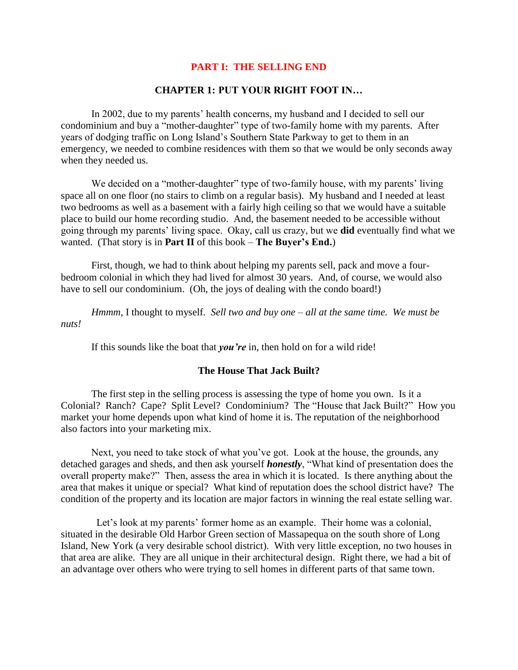# **PART I: THE SELLING END**

# **CHAPTER 1: PUT YOUR RIGHT FOOT IN…**

In 2002, due to my parents' health concerns, my husband and I decided to sell our condominium and buy a "mother-daughter" type of two-family home with my parents. After years of dodging traffic on Long Island's Southern State Parkway to get to them in an emergency, we needed to combine residences with them so that we would be only seconds away when they needed us.

We decided on a "mother-daughter" type of two-family house, with my parents' living space all on one floor (no stairs to climb on a regular basis). My husband and I needed at least two bedrooms as well as a basement with a fairly high ceiling so that we would have a suitable place to build our home recording studio. And, the basement needed to be accessible without going through my parents' living space. Okay, call us crazy, but we **did** eventually find what we wanted. (That story is in **Part II** of this book – **The Buyer's End.**)

First, though, we had to think about helping my parents sell, pack and move a fourbedroom colonial in which they had lived for almost 30 years. And, of course, we would also have to sell our condominium. (Oh, the joys of dealing with the condo board!)

*Hmmm*, I thought to myself. *Sell two and buy one – all at the same time. We must be nuts!*

If this sounds like the boat that *you're* in, then hold on for a wild ride!

## **The House That Jack Built?**

The first step in the selling process is assessing the type of home you own. Is it a Colonial? Ranch? Cape? Split Level? Condominium? The "House that Jack Built?" How you market your home depends upon what kind of home it is. The reputation of the neighborhood also factors into your marketing mix.

Next, you need to take stock of what you've got. Look at the house, the grounds, any detached garages and sheds, and then ask yourself *honestly*, "What kind of presentation does the overall property make?" Then, assess the area in which it is located. Is there anything about the area that makes it unique or special? What kind of reputation does the school district have? The condition of the property and its location are major factors in winning the real estate selling war.

 Let's look at my parents' former home as an example. Their home was a colonial, situated in the desirable Old Harbor Green section of Massapequa on the south shore of Long Island, New York (a very desirable school district). With very little exception, no two houses in that area are alike. They are all unique in their architectural design. Right there, we had a bit of an advantage over others who were trying to sell homes in different parts of that same town.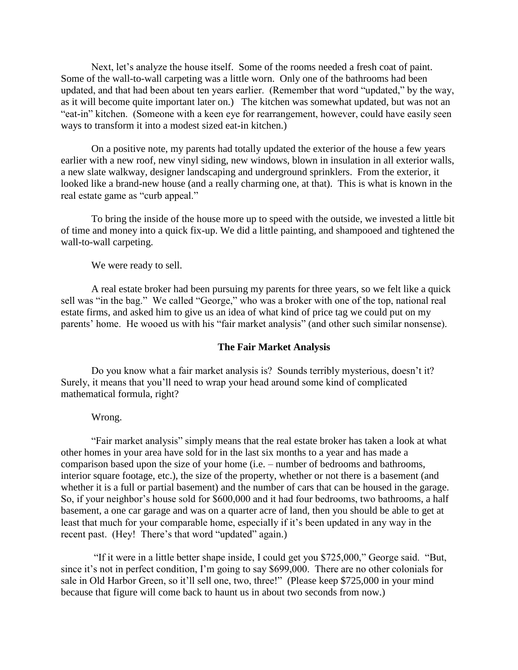Next, let's analyze the house itself. Some of the rooms needed a fresh coat of paint. Some of the wall-to-wall carpeting was a little worn. Only one of the bathrooms had been updated, and that had been about ten years earlier. (Remember that word "updated," by the way, as it will become quite important later on.) The kitchen was somewhat updated, but was not an "eat-in" kitchen. (Someone with a keen eye for rearrangement, however, could have easily seen ways to transform it into a modest sized eat-in kitchen.)

On a positive note, my parents had totally updated the exterior of the house a few years earlier with a new roof, new vinyl siding, new windows, blown in insulation in all exterior walls, a new slate walkway, designer landscaping and underground sprinklers. From the exterior, it looked like a brand-new house (and a really charming one, at that). This is what is known in the real estate game as "curb appeal."

To bring the inside of the house more up to speed with the outside, we invested a little bit of time and money into a quick fix-up. We did a little painting, and shampooed and tightened the wall-to-wall carpeting.

We were ready to sell.

A real estate broker had been pursuing my parents for three years, so we felt like a quick sell was "in the bag." We called "George," who was a broker with one of the top, national real estate firms, and asked him to give us an idea of what kind of price tag we could put on my parents' home. He wooed us with his "fair market analysis" (and other such similar nonsense).

## **The Fair Market Analysis**

Do you know what a fair market analysis is? Sounds terribly mysterious, doesn't it? Surely, it means that you'll need to wrap your head around some kind of complicated mathematical formula, right?

#### Wrong.

"Fair market analysis" simply means that the real estate broker has taken a look at what other homes in your area have sold for in the last six months to a year and has made a comparison based upon the size of your home (i.e. – number of bedrooms and bathrooms, interior square footage, etc.), the size of the property, whether or not there is a basement (and whether it is a full or partial basement) and the number of cars that can be housed in the garage. So, if your neighbor's house sold for \$600,000 and it had four bedrooms, two bathrooms, a half basement, a one car garage and was on a quarter acre of land, then you should be able to get at least that much for your comparable home, especially if it's been updated in any way in the recent past. (Hey! There's that word "updated" again.)

"If it were in a little better shape inside, I could get you \$725,000," George said. "But, since it's not in perfect condition, I'm going to say \$699,000. There are no other colonials for sale in Old Harbor Green, so it'll sell one, two, three!" (Please keep \$725,000 in your mind because that figure will come back to haunt us in about two seconds from now.)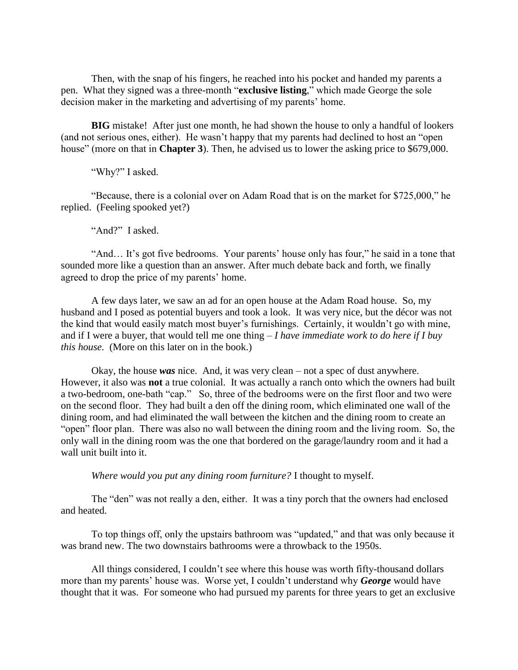Then, with the snap of his fingers, he reached into his pocket and handed my parents a pen. What they signed was a three-month "**exclusive listing**," which made George the sole decision maker in the marketing and advertising of my parents' home.

**BIG** mistake! After just one month, he had shown the house to only a handful of lookers (and not serious ones, either). He wasn't happy that my parents had declined to host an "open house" (more on that in **Chapter 3**). Then, he advised us to lower the asking price to \$679,000.

"Why?" I asked.

"Because, there is a colonial over on Adam Road that is on the market for \$725,000," he replied. (Feeling spooked yet?)

"And?" I asked.

"And… It's got five bedrooms. Your parents' house only has four," he said in a tone that sounded more like a question than an answer. After much debate back and forth, we finally agreed to drop the price of my parents' home.

A few days later, we saw an ad for an open house at the Adam Road house. So, my husband and I posed as potential buyers and took a look. It was very nice, but the décor was not the kind that would easily match most buyer's furnishings. Certainly, it wouldn't go with mine, and if I were a buyer, that would tell me one thing – *I have immediate work to do here if I buy this house.* (More on this later on in the book.)

Okay, the house *was* nice. And, it was very clean – not a spec of dust anywhere. However, it also was **not** a true colonial. It was actually a ranch onto which the owners had built a two-bedroom, one-bath "cap." So, three of the bedrooms were on the first floor and two were on the second floor. They had built a den off the dining room, which eliminated one wall of the dining room, and had eliminated the wall between the kitchen and the dining room to create an "open" floor plan. There was also no wall between the dining room and the living room. So, the only wall in the dining room was the one that bordered on the garage/laundry room and it had a wall unit built into it.

*Where would you put any dining room furniture?* I thought to myself.

The "den" was not really a den, either. It was a tiny porch that the owners had enclosed and heated.

To top things off, only the upstairs bathroom was "updated," and that was only because it was brand new. The two downstairs bathrooms were a throwback to the 1950s.

All things considered, I couldn't see where this house was worth fifty-thousand dollars more than my parents' house was. Worse yet, I couldn't understand why *George* would have thought that it was. For someone who had pursued my parents for three years to get an exclusive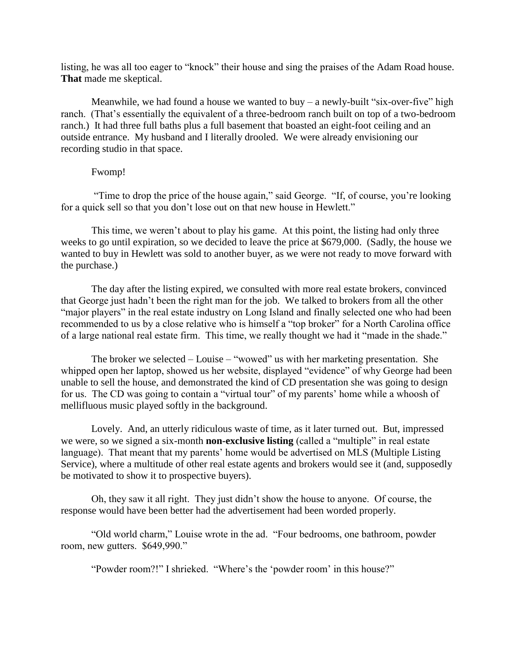listing, he was all too eager to "knock" their house and sing the praises of the Adam Road house. **That** made me skeptical.

Meanwhile, we had found a house we wanted to buy – a newly-built "six-over-five" high ranch. (That's essentially the equivalent of a three-bedroom ranch built on top of a two-bedroom ranch.) It had three full baths plus a full basement that boasted an eight-foot ceiling and an outside entrance. My husband and I literally drooled. We were already envisioning our recording studio in that space.

## Fwomp!

"Time to drop the price of the house again," said George. "If, of course, you're looking for a quick sell so that you don't lose out on that new house in Hewlett."

This time, we weren't about to play his game. At this point, the listing had only three weeks to go until expiration, so we decided to leave the price at \$679,000. (Sadly, the house we wanted to buy in Hewlett was sold to another buyer, as we were not ready to move forward with the purchase.)

The day after the listing expired, we consulted with more real estate brokers, convinced that George just hadn't been the right man for the job. We talked to brokers from all the other "major players" in the real estate industry on Long Island and finally selected one who had been recommended to us by a close relative who is himself a "top broker" for a North Carolina office of a large national real estate firm. This time, we really thought we had it "made in the shade."

The broker we selected – Louise – "wowed" us with her marketing presentation. She whipped open her laptop, showed us her website, displayed "evidence" of why George had been unable to sell the house, and demonstrated the kind of CD presentation she was going to design for us. The CD was going to contain a "virtual tour" of my parents' home while a whoosh of mellifluous music played softly in the background.

Lovely. And, an utterly ridiculous waste of time, as it later turned out. But, impressed we were, so we signed a six-month **non-exclusive listing** (called a "multiple" in real estate language). That meant that my parents' home would be advertised on MLS (Multiple Listing Service), where a multitude of other real estate agents and brokers would see it (and, supposedly be motivated to show it to prospective buyers).

Oh, they saw it all right. They just didn't show the house to anyone. Of course, the response would have been better had the advertisement had been worded properly.

"Old world charm," Louise wrote in the ad. "Four bedrooms, one bathroom, powder room, new gutters. \$649,990."

"Powder room?!" I shrieked. "Where's the 'powder room' in this house?"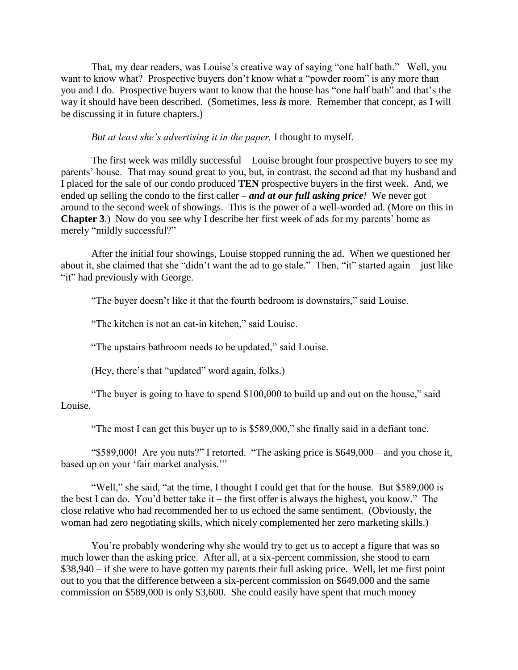That, my dear readers, was Louise's creative way of saying "one half bath." Well, you want to know what? Prospective buyers don't know what a "powder room" is any more than you and I do. Prospective buyers want to know that the house has "one half bath" and that's the way it should have been described. (Sometimes, less *is* more. Remember that concept, as I will be discussing it in future chapters.)

*But at least she's advertising it in the paper,* I thought to myself.

The first week was mildly successful – Louise brought four prospective buyers to see my parents' house. That may sound great to you, but, in contrast, the second ad that my husband and I placed for the sale of our condo produced **TEN** prospective buyers in the first week. And, we ended up selling the condo to the first caller – *and at our full asking price!* We never got around to the second week of showings. This is the power of a well-worded ad. (More on this in **Chapter 3**.) Now do you see why I describe her first week of ads for my parents' home as merely "mildly successful?"

After the initial four showings, Louise stopped running the ad. When we questioned her about it, she claimed that she "didn't want the ad to go stale." Then, "it" started again – just like "it" had previously with George.

"The buyer doesn't like it that the fourth bedroom is downstairs," said Louise.

"The kitchen is not an eat-in kitchen," said Louise.

"The upstairs bathroom needs to be updated," said Louise.

(Hey, there's that "updated" word again, folks.)

"The buyer is going to have to spend \$100,000 to build up and out on the house," said Louise.

"The most I can get this buyer up to is \$589,000," she finally said in a defiant tone.

"\$589,000! Are you nuts?" I retorted. "The asking price is \$649,000 – and you chose it, based up on your 'fair market analysis.""

"Well," she said, "at the time, I thought I could get that for the house. But \$589,000 is the best I can do. You'd better take it – the first offer is always the highest, you know." The close relative who had recommended her to us echoed the same sentiment. (Obviously, the woman had zero negotiating skills, which nicely complemented her zero marketing skills.)

You're probably wondering why she would try to get us to accept a figure that was so much lower than the asking price. After all, at a six-percent commission, she stood to earn \$38,940 – if she were to have gotten my parents their full asking price. Well, let me first point out to you that the difference between a six-percent commission on \$649,000 and the same commission on \$589,000 is only \$3,600. She could easily have spent that much money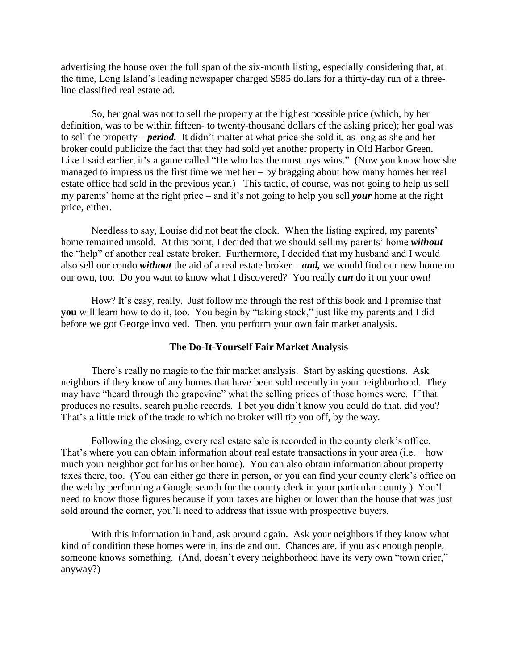advertising the house over the full span of the six-month listing, especially considering that, at the time, Long Island's leading newspaper charged \$585 dollars for a thirty-day run of a threeline classified real estate ad.

So, her goal was not to sell the property at the highest possible price (which, by her definition, was to be within fifteen- to twenty-thousand dollars of the asking price); her goal was to sell the property – *period.* It didn't matter at what price she sold it, as long as she and her broker could publicize the fact that they had sold yet another property in Old Harbor Green. Like I said earlier, it's a game called "He who has the most toys wins." (Now you know how she managed to impress us the first time we met her – by bragging about how many homes her real estate office had sold in the previous year.) This tactic, of course, was not going to help us sell my parents' home at the right price – and it's not going to help you sell *your* home at the right price, either.

Needless to say, Louise did not beat the clock. When the listing expired, my parents' home remained unsold. At this point, I decided that we should sell my parents' home *without* the "help" of another real estate broker. Furthermore, I decided that my husband and I would also sell our condo *without* the aid of a real estate broker – *and,* we would find our new home on our own, too. Do you want to know what I discovered? You really *can* do it on your own!

How? It's easy, really. Just follow me through the rest of this book and I promise that **you** will learn how to do it, too. You begin by "taking stock," just like my parents and I did before we got George involved. Then, you perform your own fair market analysis.

## **The Do-It-Yourself Fair Market Analysis**

There's really no magic to the fair market analysis. Start by asking questions. Ask neighbors if they know of any homes that have been sold recently in your neighborhood. They may have "heard through the grapevine" what the selling prices of those homes were. If that produces no results, search public records. I bet you didn't know you could do that, did you? That's a little trick of the trade to which no broker will tip you off, by the way.

Following the closing, every real estate sale is recorded in the county clerk's office. That's where you can obtain information about real estate transactions in your area (i.e. – how much your neighbor got for his or her home). You can also obtain information about property taxes there, too. (You can either go there in person, or you can find your county clerk's office on the web by performing a Google search for the county clerk in your particular county.) You'll need to know those figures because if your taxes are higher or lower than the house that was just sold around the corner, you'll need to address that issue with prospective buyers.

With this information in hand, ask around again. Ask your neighbors if they know what kind of condition these homes were in, inside and out. Chances are, if you ask enough people, someone knows something. (And, doesn't every neighborhood have its very own "town crier," anyway?)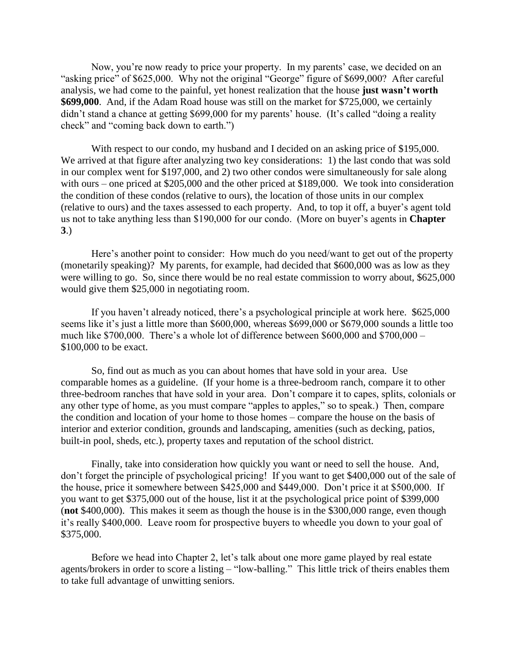Now, you're now ready to price your property. In my parents' case, we decided on an "asking price" of \$625,000. Why not the original "George" figure of \$699,000? After careful analysis, we had come to the painful, yet honest realization that the house **just wasn't worth \$699,000**. And, if the Adam Road house was still on the market for \$725,000, we certainly didn't stand a chance at getting \$699,000 for my parents' house. (It's called "doing a reality check" and "coming back down to earth.")

With respect to our condo, my husband and I decided on an asking price of \$195,000. We arrived at that figure after analyzing two key considerations: 1) the last condo that was sold in our complex went for \$197,000, and 2) two other condos were simultaneously for sale along with ours – one priced at \$205,000 and the other priced at \$189,000. We took into consideration the condition of these condos (relative to ours), the location of those units in our complex (relative to ours) and the taxes assessed to each property. And, to top it off, a buyer's agent told us not to take anything less than \$190,000 for our condo. (More on buyer's agents in **Chapter 3**.)

Here's another point to consider: How much do you need/want to get out of the property (monetarily speaking)? My parents, for example, had decided that \$600,000 was as low as they were willing to go. So, since there would be no real estate commission to worry about, \$625,000 would give them \$25,000 in negotiating room.

If you haven't already noticed, there's a psychological principle at work here. \$625,000 seems like it's just a little more than \$600,000, whereas \$699,000 or \$679,000 sounds a little too much like \$700,000. There's a whole lot of difference between \$600,000 and \$700,000 – \$100,000 to be exact.

So, find out as much as you can about homes that have sold in your area. Use comparable homes as a guideline. (If your home is a three-bedroom ranch, compare it to other three-bedroom ranches that have sold in your area. Don't compare it to capes, splits, colonials or any other type of home, as you must compare "apples to apples," so to speak.) Then, compare the condition and location of your home to those homes – compare the house on the basis of interior and exterior condition, grounds and landscaping, amenities (such as decking, patios, built-in pool, sheds, etc.), property taxes and reputation of the school district.

Finally, take into consideration how quickly you want or need to sell the house. And, don't forget the principle of psychological pricing! If you want to get \$400,000 out of the sale of the house, price it somewhere between \$425,000 and \$449,000. Don't price it at \$500,000. If you want to get \$375,000 out of the house, list it at the psychological price point of \$399,000 (**not** \$400,000). This makes it seem as though the house is in the \$300,000 range, even though it's really \$400,000. Leave room for prospective buyers to wheedle you down to your goal of \$375,000.

Before we head into Chapter 2, let's talk about one more game played by real estate agents/brokers in order to score a listing – "low-balling." This little trick of theirs enables them to take full advantage of unwitting seniors.